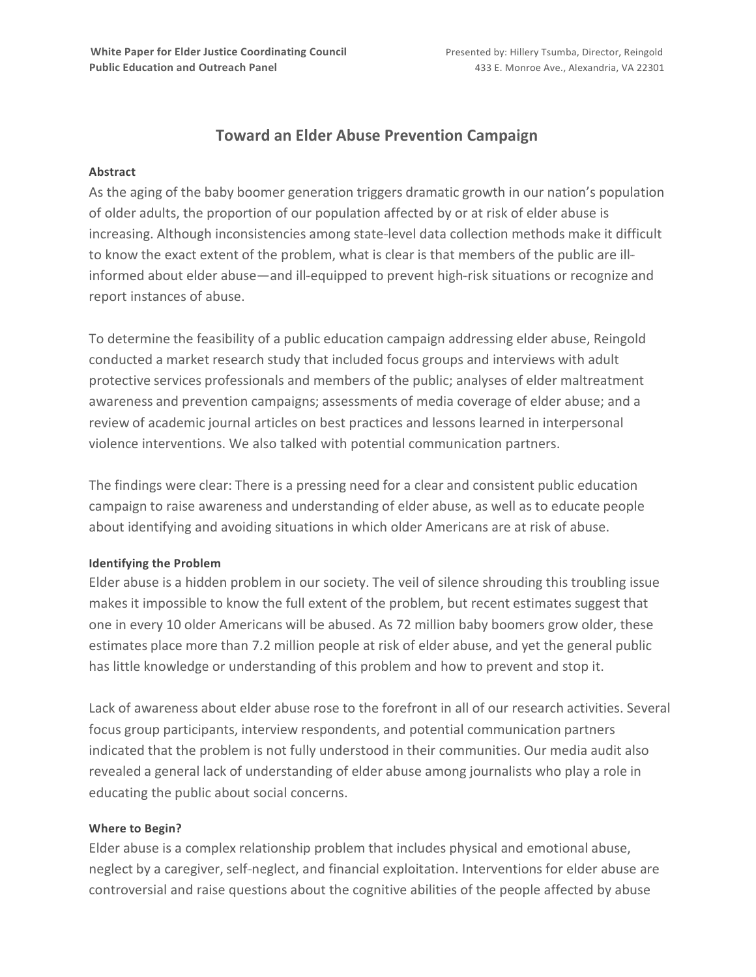# **Toward an Elder Abuse Prevention Campaign**

#### **Abstract**

As the aging of the baby boomer generation triggers dramatic growth in our nation's population of older adults, the proportion of our population affected by or at risk of elder abuse is increasing. Although inconsistencies among state-level data collection methods make it difficult to know the exact extent of the problem, what is clear is that members of the public are ill informed about elder abuse—and ill-equipped to prevent high-risk situations or recognize and report instances of abuse.

To determine the feasibility of a public education campaign addressing elder abuse, Reingold conducted a market research study that included focus groups and interviews with adult protective services professionals and members of the public; analyses of elder maltreatment awareness and prevention campaigns; assessments of media coverage of elder abuse; and a review of academic journal articles on best practices and lessons learned in interpersonal violence interventions. We also talked with potential communication partners.

The findings were clear: There is a pressing need for a clear and consistent public education campaign to raise awareness and understanding of elder abuse, as well as to educate people about identifying and avoiding situations in which older Americans are at risk of abuse.

### **Identifying the Problem**

Elder abuse is a hidden problem in our society. The veil of silence shrouding this troubling issue makes it impossible to know the full extent of the problem, but recent estimates suggest that one in every 10 older Americans will be abused. As 72 million baby boomers grow older, these estimates place more than 7.2 million people at risk of elder abuse, and yet the general public has little knowledge or understanding of this problem and how to prevent and stop it.

Lack of awareness about elder abuse rose to the forefront in all of our research activities. Several focus group participants, interview respondents, and potential communication partners indicated that the problem is not fully understood in their communities. Our media audit also revealed a general lack of understanding of elder abuse among journalists who play a role in educating the public about social concerns.

### **Where to Begin?**

Elder abuse is a complex relationship problem that includes physical and emotional abuse, neglect by a caregiver, self-neglect, and financial exploitation. Interventions for elder abuse are controversial and raise questions about the cognitive abilities of the people affected by abuse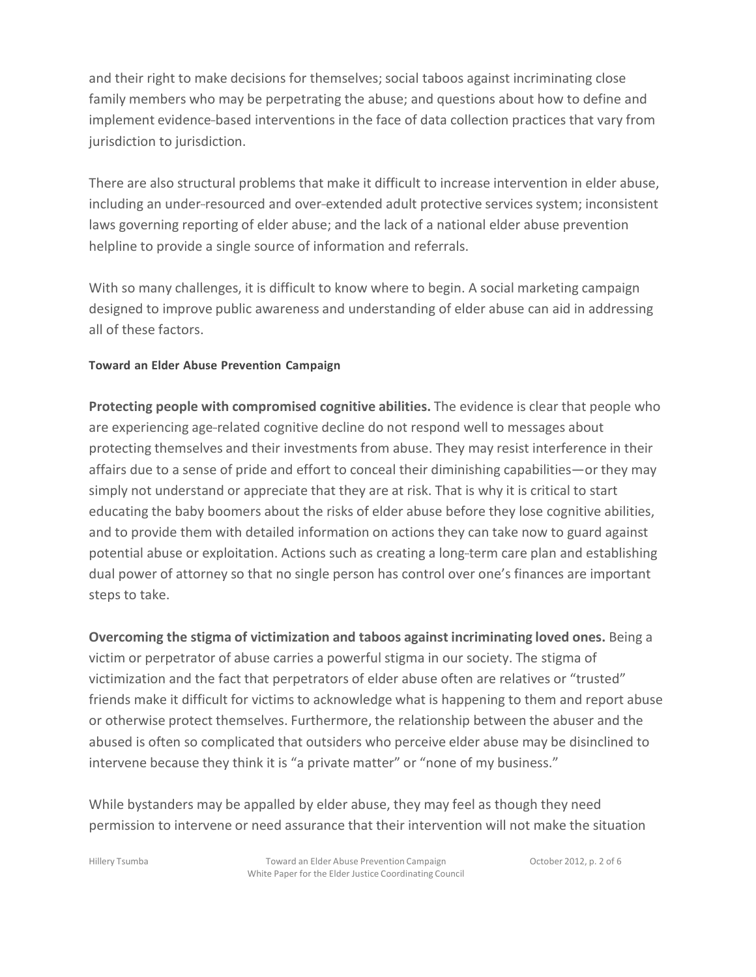and their right to make decisions for themselves; social taboos against incriminating close family members who may be perpetrating the abuse; and questions about how to define and implement evidence-based interventions in the face of data collection practices that vary from jurisdiction to jurisdiction.

There are also structural problems that make it difficult to increase intervention in elder abuse, including an under-resourced and over-extended adult protective services system; inconsistent laws governing reporting of elder abuse; and the lack of a national elder abuse prevention helpline to provide a single source of information and referrals.

With so many challenges, it is difficult to know where to begin. A social marketing campaign designed to improve public awareness and understanding of elder abuse can aid in addressing all of these factors.

## **Toward an Elder Abuse Prevention Campaign**

**Protecting people with compromised cognitive abilities.** The evidence is clear that people who are experiencing age-related cognitive decline do not respond well to messages about protecting themselves and their investments from abuse. They may resist interference in their affairs due to a sense of pride and effort to conceal their diminishing capabilities—or they may simply not understand or appreciate that they are at risk. That is why it is critical to start educating the baby boomers about the risks of elder abuse before they lose cognitive abilities, and to provide them with detailed information on actions they can take now to guard against potential abuse or exploitation. Actions such as creating a long-term care plan and establishing dual power of attorney so that no single person has control over one's finances are important steps to take.

**Overcoming the stigma of victimization and taboos against incriminating loved ones.** Being a victim or perpetrator of abuse carries a powerful stigma in our society. The stigma of victimization and the fact that perpetrators of elder abuse often are relatives or "trusted" friends make it difficult for victims to acknowledge what is happening to them and report abuse or otherwise protect themselves. Furthermore, the relationship between the abuser and the abused is often so complicated that outsiders who perceive elder abuse may be disinclined to intervene because they think it is "a private matter" or "none of my business."

While bystanders may be appalled by elder abuse, they may feel as though they need permission to intervene or need assurance that their intervention will not make the situation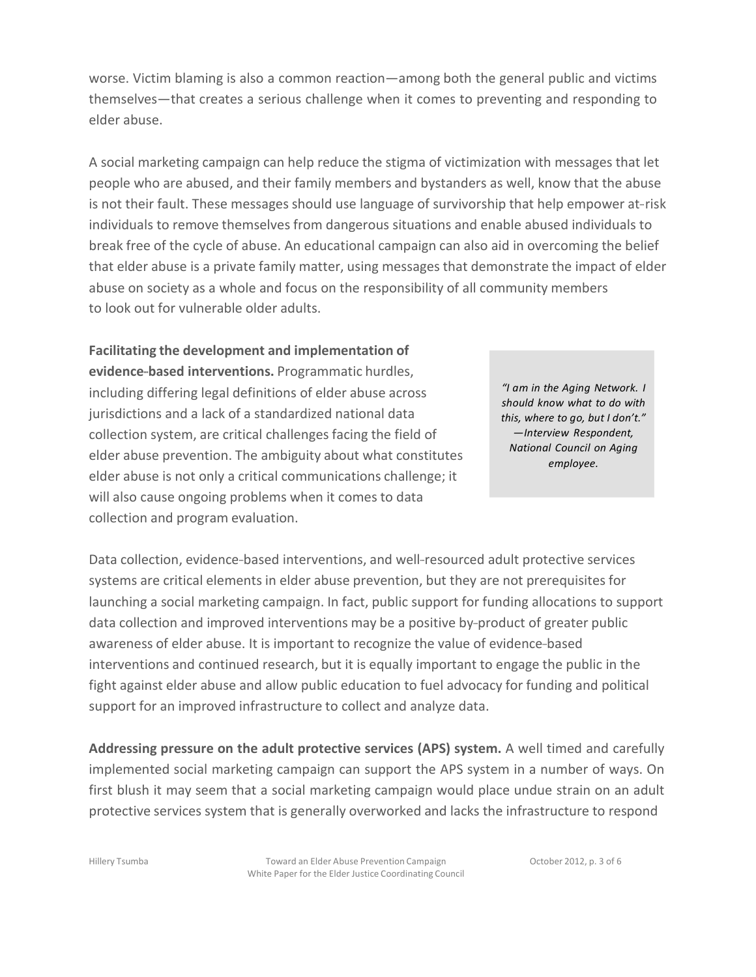worse. Victim blaming is also a common reaction—among both the general public and victims themselves—that creates a serious challenge when it comes to preventing and responding to elder abuse.

A social marketing campaign can help reduce the stigma of victimization with messages that let people who are abused, and their family members and bystanders as well, know that the abuse is not their fault. These messages should use language of survivorship that help empower at- risk individuals to remove themselves from dangerous situations and enable abused individuals to break free of the cycle of abuse. An educational campaign can also aid in overcoming the belief that elder abuse is a private family matter, using messages that demonstrate the impact of elder abuse on society as a whole and focus on the responsibility of all community members to look out for vulnerable older adults.

**Facilitating the development and implementation of evidence-based interventions.** Programmatic hurdles, including differing legal definitions of elder abuse across jurisdictions and a lack of a standardized national data collection system, are critical challenges facing the field of elder abuse prevention. The ambiguity about what constitutes elder abuse is not only a critical communications challenge; it will also cause ongoing problems when it comes to data collection and program evaluation.

*"I am in the Aging Network. I should know what to do with this, where to go, but I don't." —Interview Respondent, National Council on Aging employee.*

Data collection, evidence-based interventions, and well-resourced adult protective services systems are critical elements in elder abuse prevention, but they are not prerequisites for launching a social marketing campaign. In fact, public support for funding allocations to support data collection and improved interventions may be a positive by-product of greater public awareness of elder abuse. It is important to recognize the value of evidence-based interventions and continued research, but it is equally important to engage the public in the fight against elder abuse and allow public education to fuel advocacy for funding and political support for an improved infrastructure to collect and analyze data.

**Addressing pressure on the adult protective services (APS) system.** A well timed and carefully implemented social marketing campaign can support the APS system in a number of ways. On first blush it may seem that a social marketing campaign would place undue strain on an adult protective services system that is generally overworked and lacks the infrastructure to respond

Hillery Tsumba Toward an Elder Abuse Prevention Campaign White Paper for the Elder Justice Coordinating Council October 2012, p. 3 of 6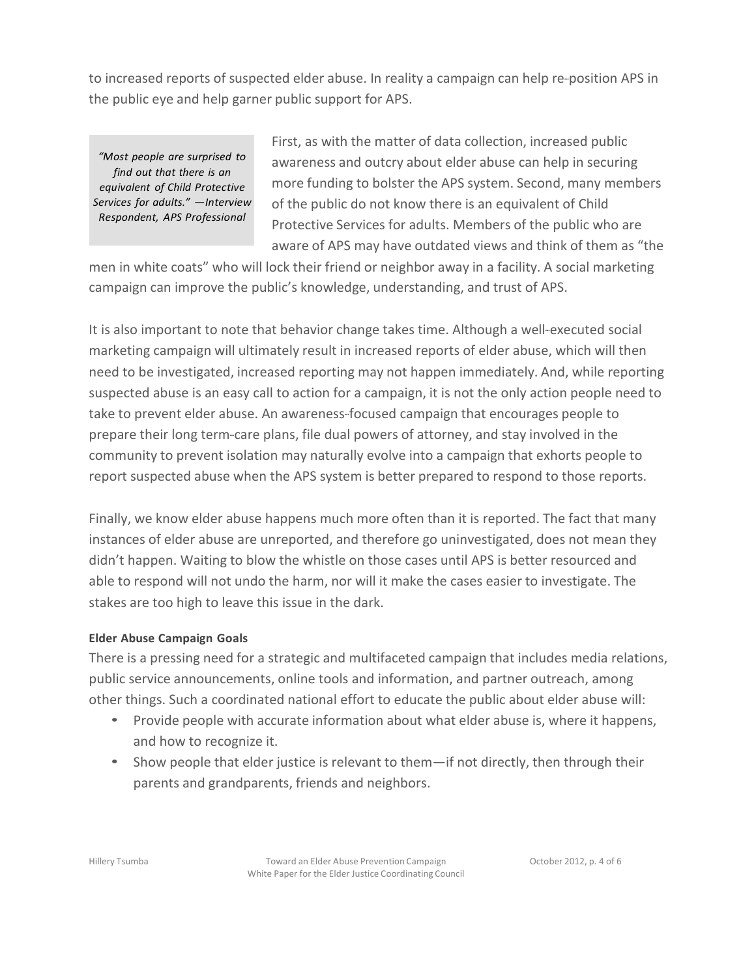to increased reports of suspected elder abuse. In reality a campaign can help re-position APS in the public eye and help garner public support for APS.

*"Most people are surprised to find out that there is an equivalent of Child Protective Services for adults." —Interview Respondent, APS Professional*

First, as with the matter of data collection, increased public awareness and outcry about elder abuse can help in securing more funding to bolster the APS system. Second, many members of the public do not know there is an equivalent of Child Protective Services for adults. Members of the public who are aware of APS may have outdated views and think of them as "the

men in white coats" who will lock their friend or neighbor away in a facility. A social marketing campaign can improve the public's knowledge, understanding, and trust of APS.

It is also important to note that behavior change takes time. Although a well-executed social marketing campaign will ultimately result in increased reports of elder abuse, which will then need to be investigated, increased reporting may not happen immediately. And, while reporting suspected abuse is an easy call to action for a campaign, it is not the only action people need to take to prevent elder abuse. An awareness-focused campaign that encourages people to prepare their long term-care plans, file dual powers of attorney, and stay involved in the community to prevent isolation may naturally evolve into a campaign that exhorts people to report suspected abuse when the APS system is better prepared to respond to those reports.

Finally, we know elder abuse happens much more often than it is reported. The fact that many instances of elder abuse are unreported, and therefore go uninvestigated, does not mean they didn't happen. Waiting to blow the whistle on those cases until APS is better resourced and able to respond will not undo the harm, nor will it make the cases easier to investigate. The stakes are too high to leave this issue in the dark.

## **Elder Abuse Campaign Goals**

There is a pressing need for a strategic and multifaceted campaign that includes media relations, public service announcements, online tools and information, and partner outreach, among other things. Such a coordinated national effort to educate the public about elder abuse will:

- Provide people with accurate information about what elder abuse is, where it happens, and how to recognize it.
- Show people that elder justice is relevant to them—if not directly, then through their parents and grandparents, friends and neighbors.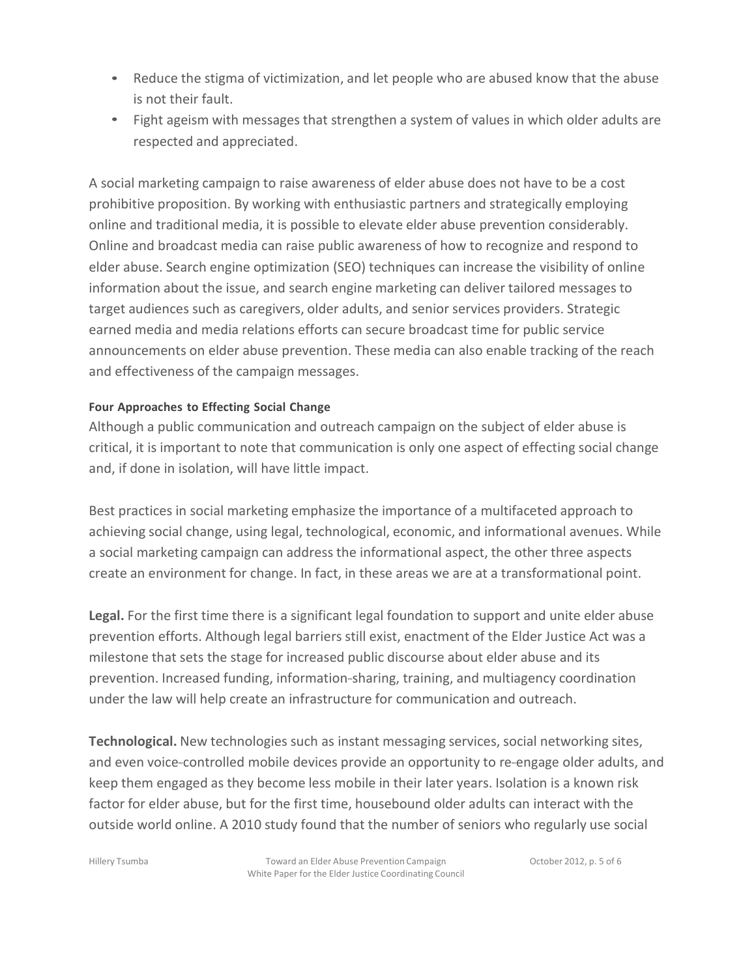- Reduce the stigma of victimization, and let people who are abused know that the abuse is not their fault.
- Fight ageism with messages that strengthen a system of values in which older adults are respected and appreciated.

A social marketing campaign to raise awareness of elder abuse does not have to be a cost prohibitive proposition. By working with enthusiastic partners and strategically employing online and traditional media, it is possible to elevate elder abuse prevention considerably. Online and broadcast media can raise public awareness of how to recognize and respond to elder abuse. Search engine optimization (SEO) techniques can increase the visibility of online information about the issue, and search engine marketing can deliver tailored messages to target audiences such as caregivers, older adults, and senior services providers. Strategic earned media and media relations efforts can secure broadcast time for public service announcements on elder abuse prevention. These media can also enable tracking of the reach and effectiveness of the campaign messages.

## **Four Approaches to Effecting Social Change**

Although a public communication and outreach campaign on the subject of elder abuse is critical, it is important to note that communication is only one aspect of effecting social change and, if done in isolation, will have little impact.

Best practices in social marketing emphasize the importance of a multifaceted approach to achieving social change, using legal, technological, economic, and informational avenues. While a social marketing campaign can address the informational aspect, the other three aspects create an environment for change. In fact, in these areas we are at a transformational point.

Legal. For the first time there is a significant legal foundation to support and unite elder abuse prevention efforts. Although legal barriers still exist, enactment of the Elder Justice Act was a milestone that sets the stage for increased public discourse about elder abuse and its prevention. Increased funding, information-sharing, training, and multiagency coordination under the law will help create an infrastructure for communication and outreach.

**Technological.** New technologies such as instant messaging services, social networking sites, and even voice-controlled mobile devices provide an opportunity to re-engage older adults, and keep them engaged as they become less mobile in their later years. Isolation is a known risk factor for elder abuse, but for the first time, housebound older adults can interact with the outside world online. A 2010 study found that the number of seniors who regularly use social